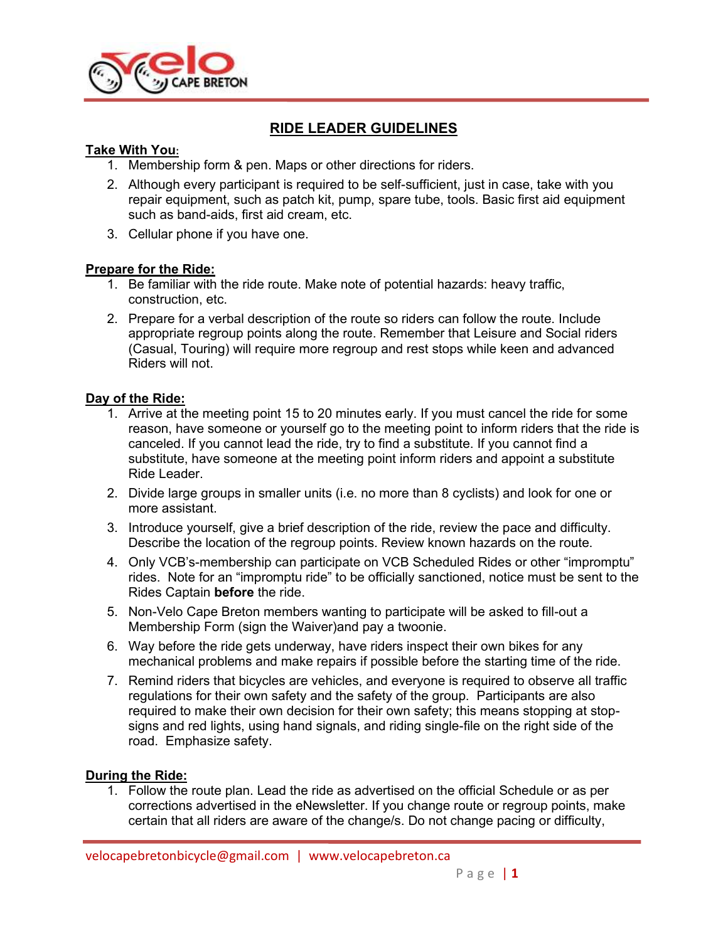

# **RIDE LEADER GUIDELINES**

#### **Take With You:**

- 1. Membership form & pen. Maps or other directions for riders.
- 2. Although every participant is required to be self-sufficient, just in case, take with you repair equipment, such as patch kit, pump, spare tube, tools. Basic first aid equipment such as band-aids, first aid cream, etc.
- 3. Cellular phone if you have one.

## **Prepare for the Ride:**

- 1. Be familiar with the ride route. Make note of potential hazards: heavy traffic, construction, etc.
- 2. Prepare for a verbal description of the route so riders can follow the route. Include appropriate regroup points along the route. Remember that Leisure and Social riders (Casual, Touring) will require more regroup and rest stops while keen and advanced Riders will not.

## **Day of the Ride:**

- 1. Arrive at the meeting point 15 to 20 minutes early. If you must cancel the ride for some reason, have someone or yourself go to the meeting point to inform riders that the ride is canceled. If you cannot lead the ride, try to find a substitute. If you cannot find a substitute, have someone at the meeting point inform riders and appoint a substitute Ride Leader.
- 2. Divide large groups in smaller units (i.e. no more than 8 cyclists) and look for one or more assistant.
- 3. Introduce yourself, give a brief description of the ride, review the pace and difficulty. Describe the location of the regroup points. Review known hazards on the route.
- 4. Only VCB's-membership can participate on VCB Scheduled Rides or other "impromptu" rides. Note for an "impromptu ride" to be officially sanctioned, notice must be sent to the Rides Captain **before** the ride.
- 5. Non-Velo Cape Breton members wanting to participate will be asked to fill-out a Membership Form (sign the Waiver)and pay a twoonie.
- 6. Way before the ride gets underway, have riders inspect their own bikes for any mechanical problems and make repairs if possible before the starting time of the ride.
- 7. Remind riders that bicycles are vehicles, and everyone is required to observe all traffic regulations for their own safety and the safety of the group. Participants are also required to make their own decision for their own safety; this means stopping at stopsigns and red lights, using hand signals, and riding single-file on the right side of the road. Emphasize safety.

#### **During the Ride:**

1. Follow the route plan. Lead the ride as advertised on the official Schedule or as per corrections advertised in the eNewsletter. If you change route or regroup points, make certain that all riders are aware of the change/s. Do not change pacing or difficulty,